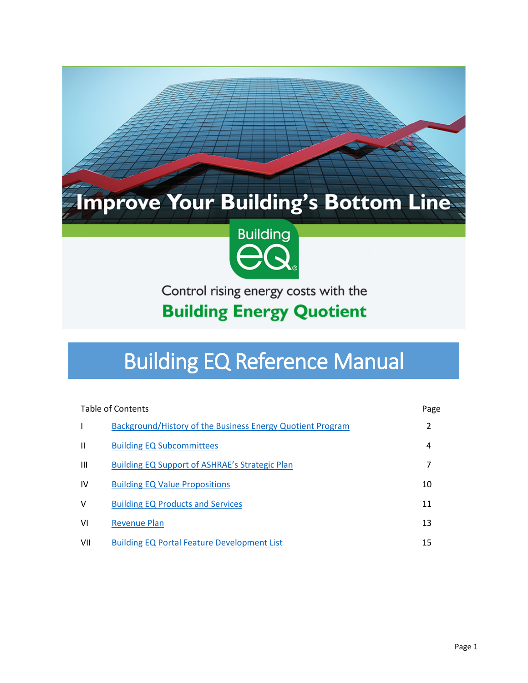# Improve Your Building's Bottom Line



Control rising energy costs with the

# **Building Energy Quotient**

# Building EQ Reference Manual

| Table of Contents |                                                            | Page |
|-------------------|------------------------------------------------------------|------|
|                   | Background/History of the Business Energy Quotient Program | 2    |
| Ш                 | <b>Building EQ Subcommittees</b>                           | 4    |
| $\mathbf{III}$    | <b>Building EQ Support of ASHRAE's Strategic Plan</b>      | 7    |
| IV                | <b>Building EQ Value Propositions</b>                      | 10   |
| v                 | <b>Building EQ Products and Services</b>                   | 11   |
| VI                | <b>Revenue Plan</b>                                        | 13   |
| VII               | <b>Building EQ Portal Feature Development List</b>         | 15   |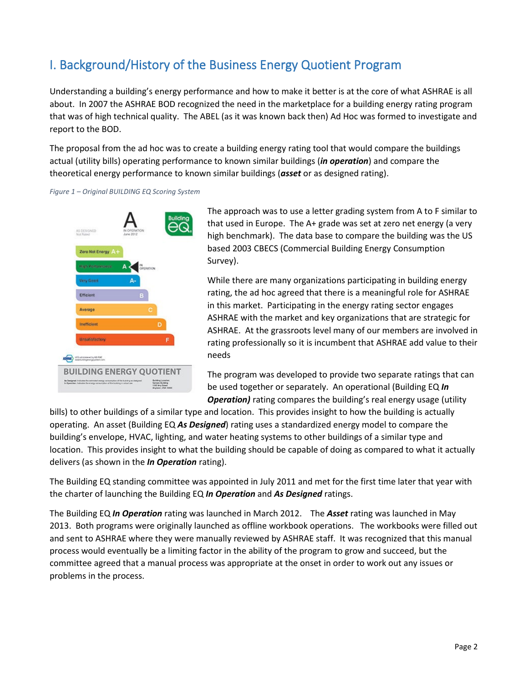# <span id="page-1-0"></span>I. Background/History of the Business Energy Quotient Program

Understanding a building's energy performance and how to make it better is at the core of what ASHRAE is all about. In 2007 the ASHRAE BOD recognized the need in the marketplace for a building energy rating program that was of high technical quality. The ABEL (as it was known back then) Ad Hoc was formed to investigate and report to the BOD.

The proposal from the ad hoc was to create a building energy rating tool that would compare the buildings actual (utility bills) operating performance to known similar buildings (*in operation*) and compare the theoretical energy performance to known similar buildings (*asset* or as designed rating).

*Figure 1 – Original BUILDING EQ Scoring System*



The approach was to use a letter grading system from A to F similar to that used in Europe. The A+ grade was set at zero net energy (a very high benchmark). The data base to compare the building was the US based 2003 CBECS (Commercial Building Energy Consumption Survey).

While there are many organizations participating in building energy rating, the ad hoc agreed that there is a meaningful role for ASHRAE in this market. Participating in the energy rating sector engages ASHRAE with the market and key organizations that are strategic for ASHRAE. At the grassroots level many of our members are involved in rating professionally so it is incumbent that ASHRAE add value to their needs

The program was developed to provide two separate ratings that can be used together or separately. An operational (Building EQ *In Operation)* rating compares the building's real energy usage (utility

bills) to other buildings of a similar type and location. This provides insight to how the building is actually operating. An asset (Building EQ *As Designed*) rating uses a standardized energy model to compare the building's envelope, HVAC, lighting, and water heating systems to other buildings of a similar type and location. This provides insight to what the building should be capable of doing as compared to what it actually delivers (as shown in the *In Operation* rating).

The Building EQ standing committee was appointed in July 2011 and met for the first time later that year with the charter of launching the Building EQ *In Operation* and *As Designed* ratings.

The Building EQ *In Operation* rating was launched in March 2012. The *Asset* rating was launched in May 2013. Both programs were originally launched as offline workbook operations. The workbooks were filled out and sent to ASHRAE where they were manually reviewed by ASHRAE staff. It was recognized that this manual process would eventually be a limiting factor in the ability of the program to grow and succeed, but the committee agreed that a manual process was appropriate at the onset in order to work out any issues or problems in the process.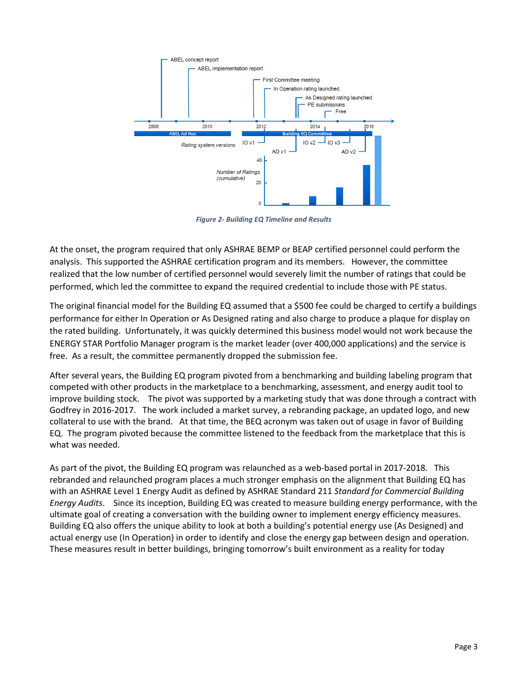

*Figure 2- Building EQ Timeline and Results*

At the onset, the program required that only ASHRAE BEMP or BEAP certified personnel could perform the analysis. This supported the ASHRAE certification program and its members. However, the committee realized that the low number of certified personnel would severely limit the number of ratings that could be performed, which led the committee to expand the required credential to include those with PE status.

The original financial model for the Building EQ assumed that a \$500 fee could be charged to certify a buildings performance for either In Operation or As Designed rating and also charge to produce a plaque for display on the rated building. Unfortunately, it was quickly determined this business model would not work because the ENERGY STAR Portfolio Manager program is the market leader (over 400,000 applications) and the service is free. As a result, the committee permanently dropped the submission fee.

After several years, the Building EQ program pivoted from a benchmarking and building labeling program that competed with other products in the marketplace to a benchmarking, assessment, and energy audit tool to improve building stock. The pivot was supported by a marketing study that was done through a contract with Godfrey in 2016-2017. The work included a market survey, a rebranding package, an updated logo, and new collateral to use with the brand. At that time, the BEQ acronym was taken out of usage in favor of Building EQ. The program pivoted because the committee listened to the feedback from the marketplace that this is what was needed.

As part of the pivot, the Building EQ program was relaunched as a web-based portal in 2017-2018. This rebranded and relaunched program places a much stronger emphasis on the alignment that Building EQ has with an ASHRAE Level 1 Energy Audit as defined by ASHRAE Standard 211 *Standard for Commercial Building Energy Audits*. Since its inception, Building EQ was created to measure building energy performance, with the ultimate goal of creating a conversation with the building owner to implement energy efficiency measures. Building EQ also offers the unique ability to look at both a building's potential energy use (As Designed) and actual energy use (In Operation) in order to identify and close the energy gap between design and operation. These measures result in better buildings, bringing tomorrow's built environment as a reality for today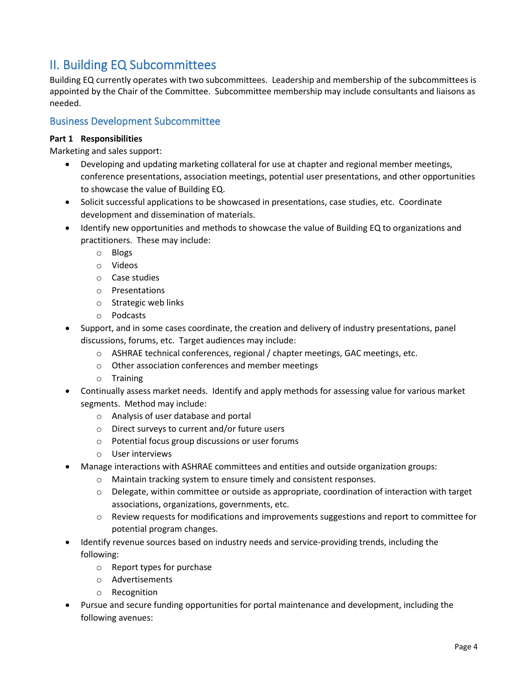# <span id="page-3-0"></span>II. Building EQ Subcommittees

Building EQ currently operates with two subcommittees. Leadership and membership of the subcommittees is appointed by the Chair of the Committee. Subcommittee membership may include consultants and liaisons as needed.

## Business Development Subcommittee

### **Part 1 Responsibilities**

Marketing and sales support:

- Developing and updating marketing collateral for use at chapter and regional member meetings, conference presentations, association meetings, potential user presentations, and other opportunities to showcase the value of Building EQ.
- Solicit successful applications to be showcased in presentations, case studies, etc. Coordinate development and dissemination of materials.
- Identify new opportunities and methods to showcase the value of Building EQ to organizations and practitioners. These may include:
	- o Blogs
	- o Videos
	- o Case studies
	- o Presentations
	- o Strategic web links
	- o Podcasts
- Support, and in some cases coordinate, the creation and delivery of industry presentations, panel discussions, forums, etc. Target audiences may include:
	- o ASHRAE technical conferences, regional / chapter meetings, GAC meetings, etc.
	- o Other association conferences and member meetings
	- o Training
- Continually assess market needs. Identify and apply methods for assessing value for various market segments. Method may include:
	- o Analysis of user database and portal
	- o Direct surveys to current and/or future users
	- o Potential focus group discussions or user forums
	- o User interviews
- Manage interactions with ASHRAE committees and entities and outside organization groups:
	- o Maintain tracking system to ensure timely and consistent responses.
	- o Delegate, within committee or outside as appropriate, coordination of interaction with target associations, organizations, governments, etc.
	- o Review requests for modifications and improvements suggestions and report to committee for potential program changes.
- Identify revenue sources based on industry needs and service-providing trends, including the following:
	- o Report types for purchase
	- o Advertisements
	- o Recognition
- Pursue and secure funding opportunities for portal maintenance and development, including the following avenues: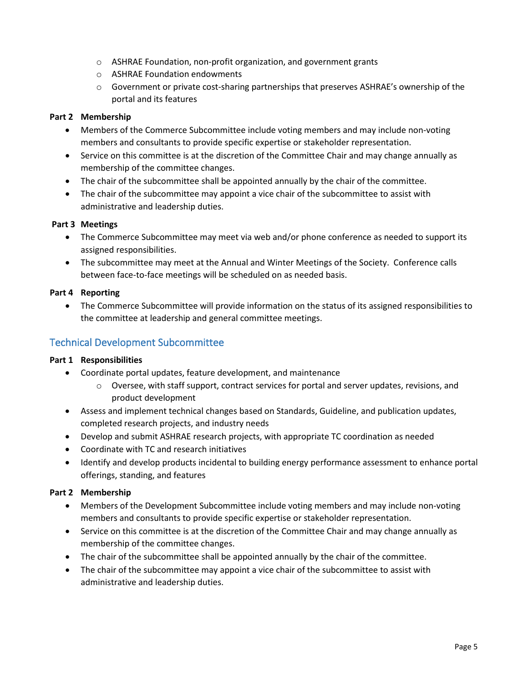- o ASHRAE Foundation, non-profit organization, and government grants
- o ASHRAE Foundation endowments
- $\circ$  Government or private cost-sharing partnerships that preserves ASHRAE's ownership of the portal and its features

### **Part 2 Membership**

- Members of the Commerce Subcommittee include voting members and may include non-voting members and consultants to provide specific expertise or stakeholder representation.
- Service on this committee is at the discretion of the Committee Chair and may change annually as membership of the committee changes.
- The chair of the subcommittee shall be appointed annually by the chair of the committee.
- The chair of the subcommittee may appoint a vice chair of the subcommittee to assist with administrative and leadership duties.

### **Part 3 Meetings**

- The Commerce Subcommittee may meet via web and/or phone conference as needed to support its assigned responsibilities.
- The subcommittee may meet at the Annual and Winter Meetings of the Society. Conference calls between face-to-face meetings will be scheduled on as needed basis.

### **Part 4 Reporting**

• The Commerce Subcommittee will provide information on the status of its assigned responsibilities to the committee at leadership and general committee meetings.

### Technical Development Subcommittee

#### **Part 1 Responsibilities**

- Coordinate portal updates, feature development, and maintenance
	- $\circ$  Oversee, with staff support, contract services for portal and server updates, revisions, and product development
- Assess and implement technical changes based on Standards, Guideline, and publication updates, completed research projects, and industry needs
- Develop and submit ASHRAE research projects, with appropriate TC coordination as needed
- Coordinate with TC and research initiatives
- Identify and develop products incidental to building energy performance assessment to enhance portal offerings, standing, and features

### **Part 2 Membership**

- Members of the Development Subcommittee include voting members and may include non-voting members and consultants to provide specific expertise or stakeholder representation.
- Service on this committee is at the discretion of the Committee Chair and may change annually as membership of the committee changes.
- The chair of the subcommittee shall be appointed annually by the chair of the committee.
- The chair of the subcommittee may appoint a vice chair of the subcommittee to assist with administrative and leadership duties.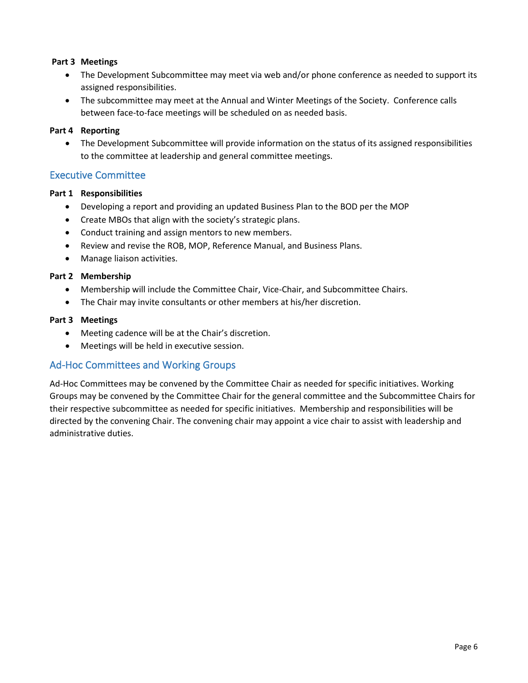### **Part 3 Meetings**

- The Development Subcommittee may meet via web and/or phone conference as needed to support its assigned responsibilities.
- The subcommittee may meet at the Annual and Winter Meetings of the Society. Conference calls between face-to-face meetings will be scheduled on as needed basis.

#### **Part 4 Reporting**

• The Development Subcommittee will provide information on the status of its assigned responsibilities to the committee at leadership and general committee meetings.

### Executive Committee

### **Part 1 Responsibilities**

- Developing a report and providing an updated Business Plan to the BOD per the MOP
- Create MBOs that align with the society's strategic plans.
- Conduct training and assign mentors to new members.
- Review and revise the ROB, MOP, Reference Manual, and Business Plans.
- Manage liaison activities.

### **Part 2 Membership**

- Membership will include the Committee Chair, Vice-Chair, and Subcommittee Chairs.
- The Chair may invite consultants or other members at his/her discretion.

### **Part 3 Meetings**

- Meeting cadence will be at the Chair's discretion.
- Meetings will be held in executive session.

### Ad-Hoc Committees and Working Groups

Ad-Hoc Committees may be convened by the Committee Chair as needed for specific initiatives. Working Groups may be convened by the Committee Chair for the general committee and the Subcommittee Chairs for their respective subcommittee as needed for specific initiatives. Membership and responsibilities will be directed by the convening Chair. The convening chair may appoint a vice chair to assist with leadership and administrative duties.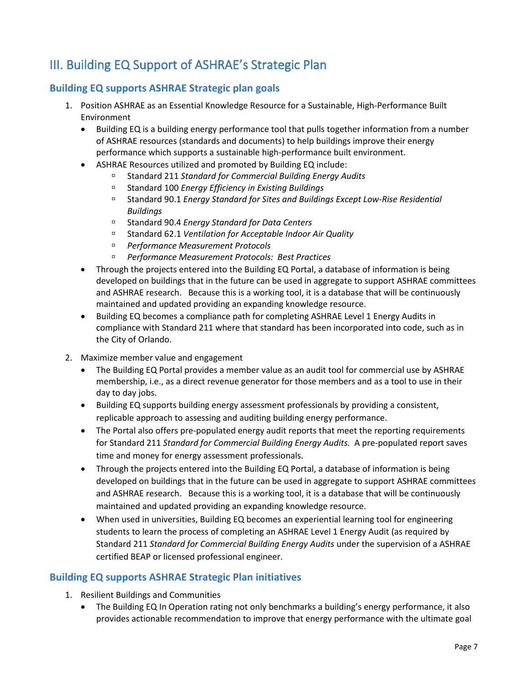# III. Building EQ Support of ASHRAE's Strategic Plan

### **Building EQ supports ASHRAE Strategic plan goals**

- <span id="page-6-0"></span>1. Position ASHRAE as an Essential Knowledge Resource for a Sustainable, High-Performance Built Environment
	- Building EQ is a building energy performance tool that pulls together information from a number of ASHRAE resources (standards and documents) to help buildings improve their energy performance which supports a sustainable high-performance built environment.
	- ASHRAE Resources utilized and promoted by Building EQ include:
		- Standard 211 *Standard for Commercial Building Energy Audits*
		- Standard 100 *Energy Efficiency in Existing Buildings*
		- Standard 90.1 *Energy Standard for Sites and Buildings Except Low-Rise Residential Buildings*
		- Standard 90.4 *Energy Standard for Data Centers*
		- Standard 62.1 *Ventilation for Acceptable Indoor Air Quality*
		- *Performance Measurement Protocols*
		- *Performance Measurement Protocols: Best Practices*
	- Through the projects entered into the Building EQ Portal, a database of information is being developed on buildings that in the future can be used in aggregate to support ASHRAE committees and ASHRAE research. Because this is a working tool, it is a database that will be continuously maintained and updated providing an expanding knowledge resource.
	- Building EQ becomes a compliance path for completing ASHRAE Level 1 Energy Audits in compliance with Standard 211 where that standard has been incorporated into code, such as in the City of Orlando.
- 2. Maximize member value and engagement
	- The Building EQ Portal provides a member value as an audit tool for commercial use by ASHRAE membership, i.e., as a direct revenue generator for those members and as a tool to use in their day to day jobs.
	- Building EQ supports building energy assessment professionals by providing a consistent, replicable approach to assessing and auditing building energy performance.
	- The Portal also offers pre-populated energy audit reports that meet the reporting requirements for Standard 211 *Standard for Commercial Building Energy Audits.* A pre-populated report saves time and money for energy assessment professionals.
	- Through the projects entered into the Building EQ Portal, a database of information is being developed on buildings that in the future can be used in aggregate to support ASHRAE committees and ASHRAE research. Because this is a working tool, it is a database that will be continuously maintained and updated providing an expanding knowledge resource.
	- When used in universities, Building EQ becomes an experiential learning tool for engineering students to learn the process of completing an ASHRAE Level 1 Energy Audit (as required by Standard 211 *Standard for Commercial Building Energy Audits* under the supervision of a ASHRAE certified BEAP or licensed professional engineer.

### **Building EQ supports ASHRAE Strategic Plan initiatives**

- 1. Resilient Buildings and Communities
	- The Building EQ In Operation rating not only benchmarks a building's energy performance, it also provides actionable recommendation to improve that energy performance with the ultimate goal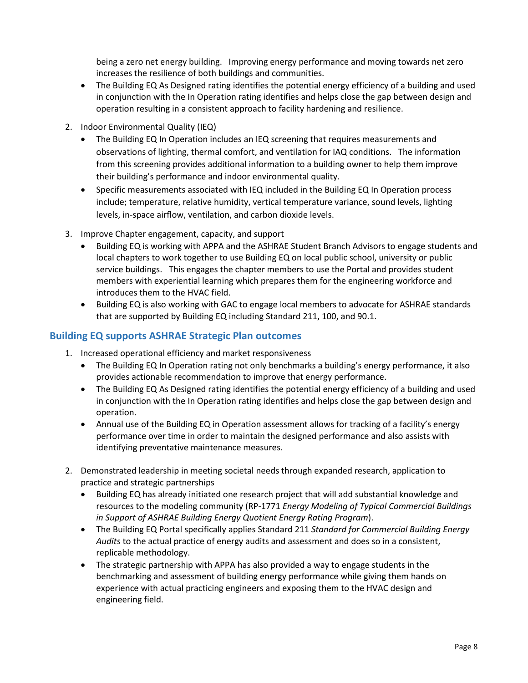being a zero net energy building. Improving energy performance and moving towards net zero increases the resilience of both buildings and communities.

- The Building EQ As Designed rating identifies the potential energy efficiency of a building and used in conjunction with the In Operation rating identifies and helps close the gap between design and operation resulting in a consistent approach to facility hardening and resilience.
- 2. Indoor Environmental Quality (IEQ)
	- The Building EQ In Operation includes an IEQ screening that requires measurements and observations of lighting, thermal comfort, and ventilation for IAQ conditions. The information from this screening provides additional information to a building owner to help them improve their building's performance and indoor environmental quality.
	- Specific measurements associated with IEQ included in the Building EQ In Operation process include; temperature, relative humidity, vertical temperature variance, sound levels, lighting levels, in-space airflow, ventilation, and carbon dioxide levels.
- 3. Improve Chapter engagement, capacity, and support
	- Building EQ is working with APPA and the ASHRAE Student Branch Advisors to engage students and local chapters to work together to use Building EQ on local public school, university or public service buildings. This engages the chapter members to use the Portal and provides student members with experiential learning which prepares them for the engineering workforce and introduces them to the HVAC field.
	- Building EQ is also working with GAC to engage local members to advocate for ASHRAE standards that are supported by Building EQ including Standard 211, 100, and 90.1.

### **Building EQ supports ASHRAE Strategic Plan outcomes**

- 1. Increased operational efficiency and market responsiveness
	- The Building EQ In Operation rating not only benchmarks a building's energy performance, it also provides actionable recommendation to improve that energy performance.
	- The Building EQ As Designed rating identifies the potential energy efficiency of a building and used in conjunction with the In Operation rating identifies and helps close the gap between design and operation.
	- Annual use of the Building EQ in Operation assessment allows for tracking of a facility's energy performance over time in order to maintain the designed performance and also assists with identifying preventative maintenance measures.
- 2. Demonstrated leadership in meeting societal needs through expanded research, application to practice and strategic partnerships
	- Building EQ has already initiated one research project that will add substantial knowledge and resources to the modeling community (RP-1771 *Energy Modeling of Typical Commercial Buildings in Support of ASHRAE Building Energy Quotient Energy Rating Program*).
	- The Building EQ Portal specifically applies Standard 211 *Standard for Commercial Building Energy Audits* to the actual practice of energy audits and assessment and does so in a consistent, replicable methodology.
	- The strategic partnership with APPA has also provided a way to engage students in the benchmarking and assessment of building energy performance while giving them hands on experience with actual practicing engineers and exposing them to the HVAC design and engineering field.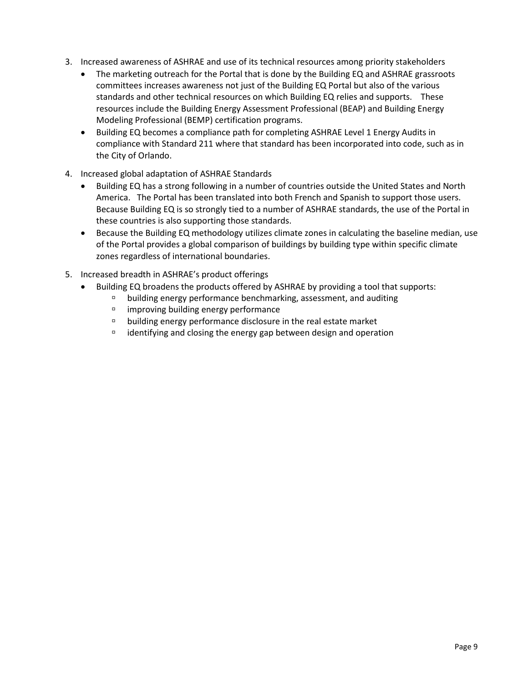- 3. Increased awareness of ASHRAE and use of its technical resources among priority stakeholders
	- The marketing outreach for the Portal that is done by the Building EQ and ASHRAE grassroots committees increases awareness not just of the Building EQ Portal but also of the various standards and other technical resources on which Building EQ relies and supports. These resources include the Building Energy Assessment Professional (BEAP) and Building Energy Modeling Professional (BEMP) certification programs.
	- Building EQ becomes a compliance path for completing ASHRAE Level 1 Energy Audits in compliance with Standard 211 where that standard has been incorporated into code, such as in the City of Orlando.
- 4. Increased global adaptation of ASHRAE Standards
	- Building EQ has a strong following in a number of countries outside the United States and North America. The Portal has been translated into both French and Spanish to support those users. Because Building EQ is so strongly tied to a number of ASHRAE standards, the use of the Portal in these countries is also supporting those standards.
	- Because the Building EQ methodology utilizes climate zones in calculating the baseline median, use of the Portal provides a global comparison of buildings by building type within specific climate zones regardless of international boundaries.
- 5. Increased breadth in ASHRAE's product offerings
	- Building EQ broadens the products offered by ASHRAE by providing a tool that supports:
		- building energy performance benchmarking, assessment, and auditing
		- $\Box$  improving building energy performance
		- $\Box$  building energy performance disclosure in the real estate market
		- $\overline{p}$  identifying and closing the energy gap between design and operation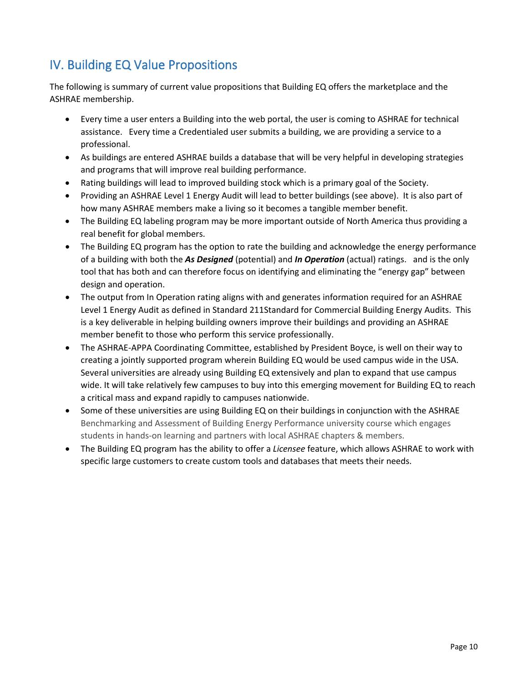# <span id="page-9-0"></span>IV. Building EQ Value Propositions

The following is summary of current value propositions that Building EQ offers the marketplace and the ASHRAE membership.

- Every time a user enters a Building into the web portal, the user is coming to ASHRAE for technical assistance. Every time a Credentialed user submits a building, we are providing a service to a professional.
- As buildings are entered ASHRAE builds a database that will be very helpful in developing strategies and programs that will improve real building performance.
- Rating buildings will lead to improved building stock which is a primary goal of the Society.
- Providing an ASHRAE Level 1 Energy Audit will lead to better buildings (see above). It is also part of how many ASHRAE members make a living so it becomes a tangible member benefit.
- The Building EQ labeling program may be more important outside of North America thus providing a real benefit for global members.
- The Building EQ program has the option to rate the building and acknowledge the energy performance of a building with both the *As Designed* (potential) and *In Operation* (actual) ratings. and is the only tool that has both and can therefore focus on identifying and eliminating the "energy gap" between design and operation.
- The output from In Operation rating aligns with and generates information required for an ASHRAE Level 1 Energy Audit as defined in Standard 211Standard for Commercial Building Energy Audits. This is a key deliverable in helping building owners improve their buildings and providing an ASHRAE member benefit to those who perform this service professionally.
- The ASHRAE-APPA Coordinating Committee, established by President Boyce, is well on their way to creating a jointly supported program wherein Building EQ would be used campus wide in the USA. Several universities are already using Building EQ extensively and plan to expand that use campus wide. It will take relatively few campuses to buy into this emerging movement for Building EQ to reach a critical mass and expand rapidly to campuses nationwide.
- Some of these universities are using Building EQ on their buildings in conjunction with the ASHRAE Benchmarking and Assessment of Building Energy Performance university course which engages students in hands-on learning and partners with local ASHRAE chapters & members.
- The Building EQ program has the ability to offer a *Licensee* feature, which allows ASHRAE to work with specific large customers to create custom tools and databases that meets their needs.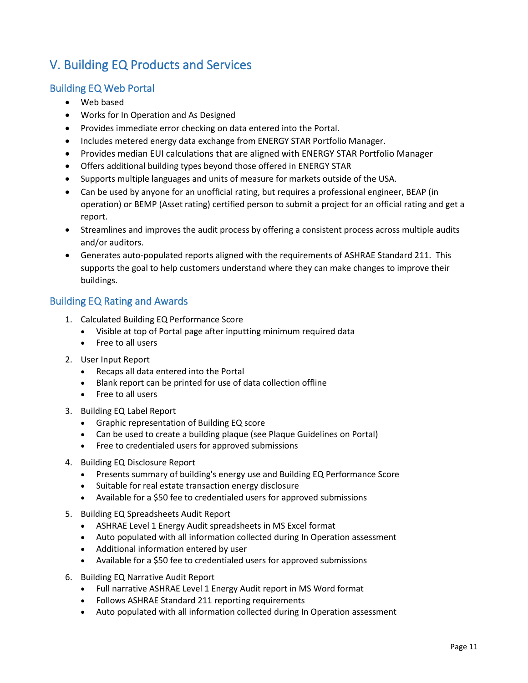# V. Building EQ Products and Services

### Building EQ Web Portal

- <span id="page-10-0"></span>• Web based
- Works for In Operation and As Designed
- Provides immediate error checking on data entered into the Portal.
- Includes metered energy data exchange from ENERGY STAR Portfolio Manager.
- Provides median EUI calculations that are aligned with ENERGY STAR Portfolio Manager
- Offers additional building types beyond those offered in ENERGY STAR
- Supports multiple languages and units of measure for markets outside of the USA.
- Can be used by anyone for an unofficial rating, but requires a professional engineer, BEAP (in operation) or BEMP (Asset rating) certified person to submit a project for an official rating and get a report.
- Streamlines and improves the audit process by offering a consistent process across multiple audits and/or auditors.
- Generates auto-populated reports aligned with the requirements of ASHRAE Standard 211. This supports the goal to help customers understand where they can make changes to improve their buildings.

## Building EQ Rating and Awards

- 1. Calculated Building EQ Performance Score
	- Visible at top of Portal page after inputting minimum required data
	- Free to all users
- 2. User Input Report
	- Recaps all data entered into the Portal
	- Blank report can be printed for use of data collection offline
	- Free to all users
- 3. Building EQ Label Report
	- Graphic representation of Building EQ score
	- Can be used to create a building plaque (see Plaque Guidelines on Portal)
	- Free to credentialed users for approved submissions
- 4. Building EQ Disclosure Report
	- Presents summary of building's energy use and Building EQ Performance Score
	- Suitable for real estate transaction energy disclosure
	- Available for a \$50 fee to credentialed users for approved submissions
- 5. Building EQ Spreadsheets Audit Report
	- ASHRAE Level 1 Energy Audit spreadsheets in MS Excel format
	- Auto populated with all information collected during In Operation assessment
	- Additional information entered by user
	- Available for a \$50 fee to credentialed users for approved submissions
- 6. Building EQ Narrative Audit Report
	- Full narrative ASHRAE Level 1 Energy Audit report in MS Word format
	- Follows ASHRAE Standard 211 reporting requirements
	- Auto populated with all information collected during In Operation assessment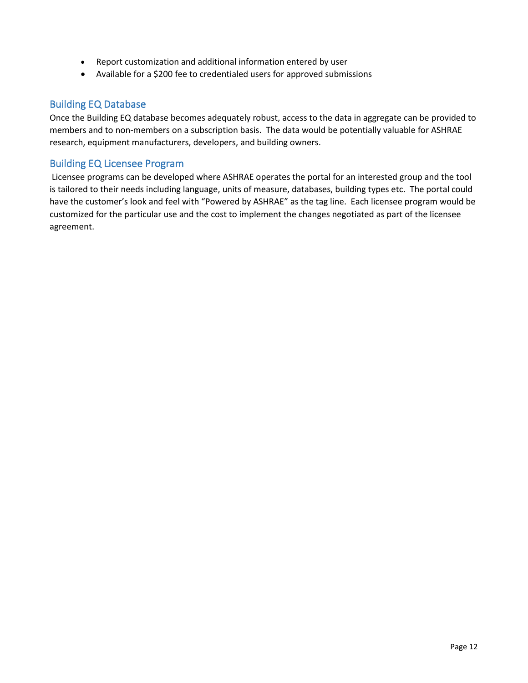- Report customization and additional information entered by user
- Available for a \$200 fee to credentialed users for approved submissions

### Building EQ Database

Once the Building EQ database becomes adequately robust, access to the data in aggregate can be provided to members and to non-members on a subscription basis. The data would be potentially valuable for ASHRAE research, equipment manufacturers, developers, and building owners.

### Building EQ Licensee Program

Licensee programs can be developed where ASHRAE operates the portal for an interested group and the tool is tailored to their needs including language, units of measure, databases, building types etc. The portal could have the customer's look and feel with "Powered by ASHRAE" as the tag line. Each licensee program would be customized for the particular use and the cost to implement the changes negotiated as part of the licensee agreement.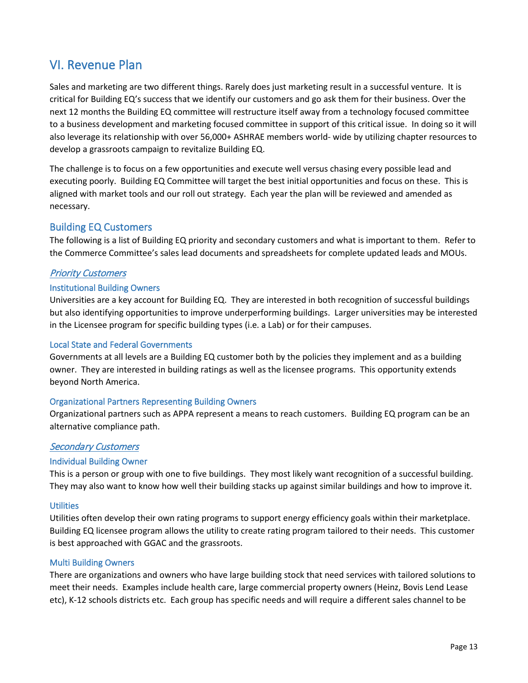# <span id="page-12-0"></span>VI. Revenue Plan

Sales and marketing are two different things. Rarely does just marketing result in a successful venture. It is critical for Building EQ's success that we identify our customers and go ask them for their business. Over the next 12 months the Building EQ committee will restructure itself away from a technology focused committee to a business development and marketing focused committee in support of this critical issue. In doing so it will also leverage its relationship with over 56,000+ ASHRAE members world- wide by utilizing chapter resources to develop a grassroots campaign to revitalize Building EQ.

The challenge is to focus on a few opportunities and execute well versus chasing every possible lead and executing poorly. Building EQ Committee will target the best initial opportunities and focus on these. This is aligned with market tools and our roll out strategy. Each year the plan will be reviewed and amended as necessary.

### Building EQ Customers

The following is a list of Building EQ priority and secondary customers and what is important to them. Refer to the Commerce Committee's sales lead documents and spreadsheets for complete updated leads and MOUs.

### Priority Customers

### Institutional Building Owners

Universities are a key account for Building EQ. They are interested in both recognition of successful buildings but also identifying opportunities to improve underperforming buildings. Larger universities may be interested in the Licensee program for specific building types (i.e. a Lab) or for their campuses.

#### Local State and Federal Governments

Governments at all levels are a Building EQ customer both by the policies they implement and as a building owner. They are interested in building ratings as well as the licensee programs. This opportunity extends beyond North America.

#### Organizational Partners Representing Building Owners

Organizational partners such as APPA represent a means to reach customers. Building EQ program can be an alternative compliance path.

### Secondary Customers

#### Individual Building Owner

This is a person or group with one to five buildings. They most likely want recognition of a successful building. They may also want to know how well their building stacks up against similar buildings and how to improve it.

#### **Utilities**

Utilities often develop their own rating programs to support energy efficiency goals within their marketplace. Building EQ licensee program allows the utility to create rating program tailored to their needs. This customer is best approached with GGAC and the grassroots.

#### Multi Building Owners

There are organizations and owners who have large building stock that need services with tailored solutions to meet their needs. Examples include health care, large commercial property owners (Heinz, Bovis Lend Lease etc), K-12 schools districts etc. Each group has specific needs and will require a different sales channel to be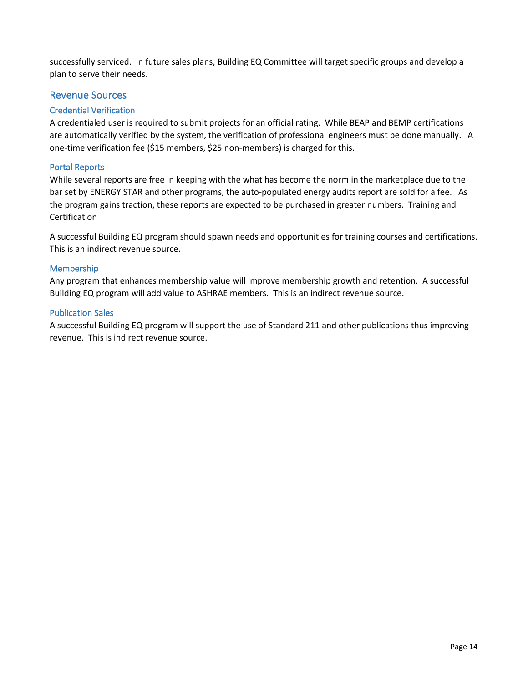successfully serviced. In future sales plans, Building EQ Committee will target specific groups and develop a plan to serve their needs.

### Revenue Sources

### Credential Verification

A credentialed user is required to submit projects for an official rating. While BEAP and BEMP certifications are automatically verified by the system, the verification of professional engineers must be done manually. A one-time verification fee (\$15 members, \$25 non-members) is charged for this.

### Portal Reports

While several reports are free in keeping with the what has become the norm in the marketplace due to the bar set by ENERGY STAR and other programs, the auto-populated energy audits report are sold for a fee. As the program gains traction, these reports are expected to be purchased in greater numbers. Training and Certification

A successful Building EQ program should spawn needs and opportunities for training courses and certifications. This is an indirect revenue source.

### Membership

Any program that enhances membership value will improve membership growth and retention. A successful Building EQ program will add value to ASHRAE members. This is an indirect revenue source.

### Publication Sales

A successful Building EQ program will support the use of Standard 211 and other publications thus improving revenue. This is indirect revenue source.